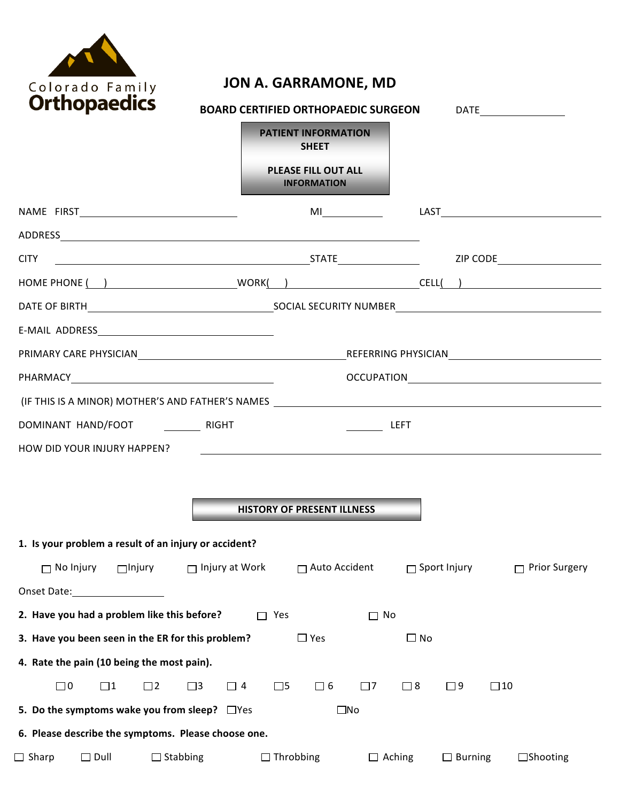

## **JON A. GARRAMONE, MD**

| UI thopaeures                                                                                                  | <b>BOARD CERTIFIED ORTHOPAEDIC SURGEON</b> |                                            |                    |               |                     |                 |  |
|----------------------------------------------------------------------------------------------------------------|--------------------------------------------|--------------------------------------------|--------------------|---------------|---------------------|-----------------|--|
|                                                                                                                |                                            | <b>PATIENT INFORMATION</b><br><b>SHEET</b> |                    |               |                     |                 |  |
|                                                                                                                |                                            | PLEASE FILL OUT ALL<br><b>INFORMATION</b>  |                    |               |                     |                 |  |
|                                                                                                                |                                            |                                            |                    |               |                     |                 |  |
|                                                                                                                |                                            |                                            |                    |               |                     |                 |  |
|                                                                                                                |                                            |                                            |                    |               |                     |                 |  |
|                                                                                                                |                                            |                                            |                    |               |                     |                 |  |
|                                                                                                                |                                            |                                            |                    |               |                     |                 |  |
|                                                                                                                |                                            |                                            |                    |               |                     |                 |  |
| PRIMARY CARE PHYSICIANNO ENTRA ELECTRICIANO EN EL ENTRA EL ENTRA EL ENTRA EL ENTRA EL ENTRA EL ENTRA EL ENTRA  |                                            |                                            |                    |               |                     |                 |  |
|                                                                                                                |                                            |                                            |                    |               |                     |                 |  |
|                                                                                                                |                                            |                                            |                    |               |                     |                 |  |
|                                                                                                                |                                            |                                            | $\frac{1}{2}$ LEFT |               |                     |                 |  |
| HOW DID YOUR INJURY HAPPEN?                                                                                    |                                            |                                            |                    |               |                     |                 |  |
|                                                                                                                |                                            |                                            |                    |               |                     |                 |  |
|                                                                                                                |                                            |                                            |                    |               |                     |                 |  |
|                                                                                                                |                                            | <b>HISTORY OF PRESENT ILLNESS</b>          |                    |               |                     |                 |  |
| 1. Is your problem a result of an injury or accident?                                                          |                                            |                                            |                    |               |                     |                 |  |
| $\Box$ No Injury<br>$\Box$ Injury                                                                              | $\Box$ Injury at Work                      | $\Box$ Auto Accident                       |                    |               | $\Box$ Sport Injury | □ Prior Surgery |  |
| Onset Date: The Constantine of the Constantine of the Constantine of the Constantine of the Constantine of the |                                            |                                            |                    |               |                     |                 |  |
| 2. Have you had a problem like this before?                                                                    | П                                          | Yes                                        | $\Box$ No          |               |                     |                 |  |
| 3. Have you been seen in the ER for this problem?                                                              |                                            | $\square$ Yes                              |                    | $\Box$ No     |                     |                 |  |
| 4. Rate the pain (10 being the most pain).                                                                     |                                            |                                            |                    |               |                     |                 |  |
| $\square$ 0<br>$\square$ 1<br>$\square$ 2                                                                      | $\square$ 3<br>$\Box$ 4                    | $\square$ 5<br>$\Box$ 6                    | $\Box$ 7           | $\square$ 8   | $\square$ 9         | $\square$ 10    |  |
| 5. Do the symptoms wake you from sleep? $\Box$ Yes                                                             |                                            |                                            | $\square$ No       |               |                     |                 |  |
| 6. Please describe the symptoms. Please choose one.                                                            |                                            |                                            |                    |               |                     |                 |  |
| Sharp<br>$\square$ Dull<br>$\Box$ Stabbing                                                                     |                                            | $\Box$ Throbbing                           |                    | $\Box$ Aching | $\Box$ Burning      | $\Box$ Shooting |  |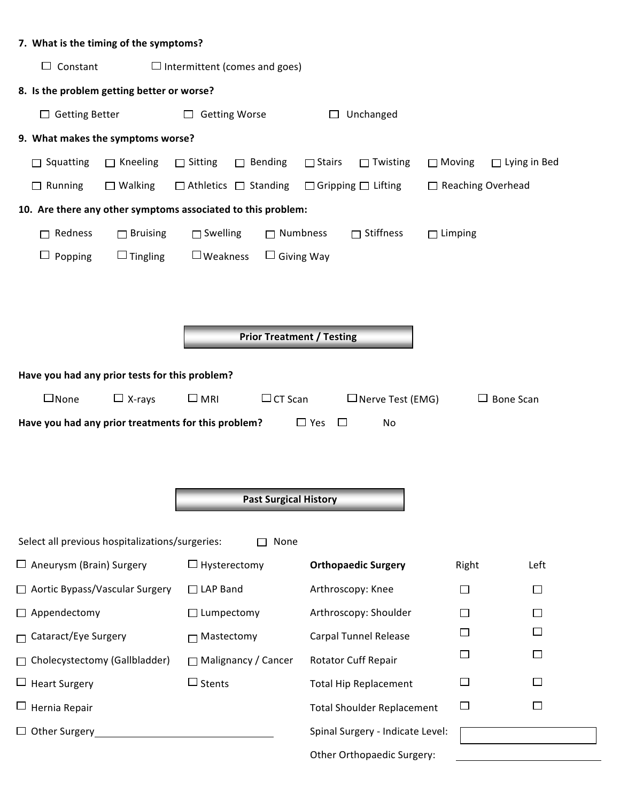| 7. What is the timing of the symptoms?                       |                                      |                                   |                          |                     |
|--------------------------------------------------------------|--------------------------------------|-----------------------------------|--------------------------|---------------------|
| $\Box$ Constant<br>$\Box$ Intermittent (comes and goes)      |                                      |                                   |                          |                     |
| 8. Is the problem getting better or worse?                   |                                      |                                   |                          |                     |
| $\Box$ Getting Better                                        | <b>Getting Worse</b><br>$\Box$       | Unchanged<br>$\Box$               |                          |                     |
| 9. What makes the symptoms worse?                            |                                      |                                   |                          |                     |
| $\Box$ Kneeling<br>Squatting<br>$\Box$                       | Bending<br>$\Box$ Sitting<br>$\Box$  | $\Box$ Stairs<br>$\Box$ Twisting  | $\Box$ Moving            | $\Box$ Lying in Bed |
| $\Box$ Running<br>$\Box$ Walking                             | $\Box$ Athletics $\Box$ Standing     | $\Box$ Gripping $\Box$ Lifting    | $\Box$ Reaching Overhead |                     |
| 10. Are there any other symptoms associated to this problem: |                                      |                                   |                          |                     |
| Redness<br>$\Box$ Bruising<br>$\Box$                         | $\Box$ Swelling<br>$\Box$ Numbness   | $\Box$ Stiffness                  | $\Box$ Limping           |                     |
| $\Box$ Tingling<br>$\Box$<br>Popping                         | $\Box$ Weakness<br>$\Box$ Giving Way |                                   |                          |                     |
|                                                              |                                      |                                   |                          |                     |
|                                                              |                                      |                                   |                          |                     |
|                                                              |                                      |                                   |                          |                     |
|                                                              | <b>Prior Treatment / Testing</b>     |                                   |                          |                     |
| Have you had any prior tests for this problem?               |                                      |                                   |                          |                     |
| $\square$ None<br>$\Box$ X-rays                              | $\Box$ MRI<br>$\Box$ CT Scan         | $\Box$ Nerve Test (EMG)           |                          | $\Box$ Bone Scan    |
| Have you had any prior treatments for this problem?          |                                      | $\Box$ Yes<br>$\Box$<br>No        |                          |                     |
|                                                              |                                      |                                   |                          |                     |
|                                                              |                                      |                                   |                          |                     |
|                                                              | <b>Past Surgical History</b>         |                                   |                          |                     |
|                                                              |                                      |                                   |                          |                     |
| Select all previous hospitalizations/surgeries:<br>None      |                                      |                                   |                          |                     |
| $\Box$ Aneurysm (Brain) Surgery                              | $\Box$ Hysterectomy                  | <b>Orthopaedic Surgery</b>        | Right                    | Left                |
| Aortic Bypass/Vascular Surgery                               | $\Box$ LAP Band                      | Arthroscopy: Knee                 | $\Box$                   |                     |
| Appendectomy                                                 | $\Box$ Lumpectomy                    | Arthroscopy: Shoulder             | $\Box$                   |                     |
| Cataract/Eye Surgery                                         | $\Box$ Mastectomy                    | <b>Carpal Tunnel Release</b>      | $\Box$                   |                     |
| Cholecystectomy (Gallbladder)                                | □ Malignancy / Cancer                | Rotator Cuff Repair               | $\Box$                   |                     |
| <b>Heart Surgery</b><br>ப                                    | $\square$ Stents                     | <b>Total Hip Replacement</b>      | $\Box$                   |                     |
| Hernia Repair                                                |                                      | <b>Total Shoulder Replacement</b> | $\Box$                   |                     |
| <b>Other Surgery</b>                                         |                                      | Spinal Surgery - Indicate Level:  |                          |                     |
|                                                              |                                      | Other Orthopaedic Surgery:        |                          |                     |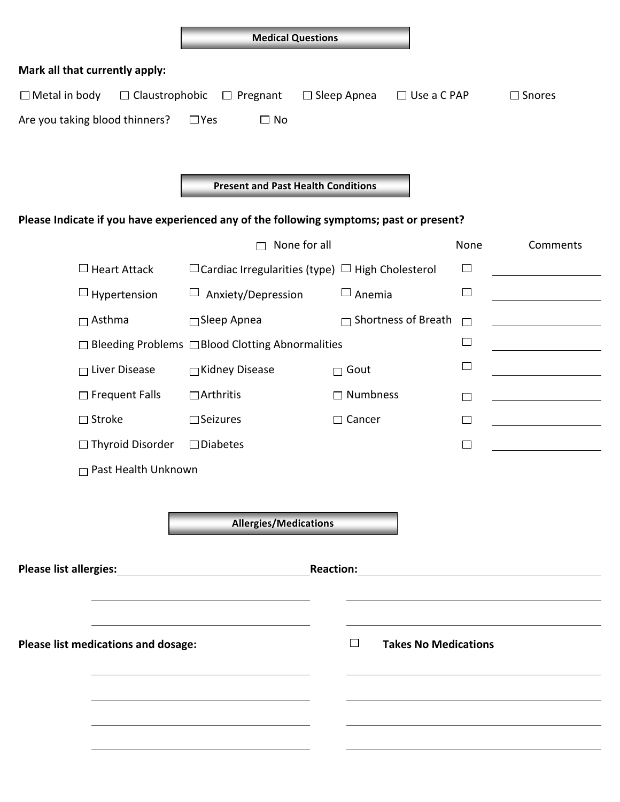|                                     |                                                                                         | <b>Medical Questions</b>                                                                                                                                                                                                       |        |                  |  |  |
|-------------------------------------|-----------------------------------------------------------------------------------------|--------------------------------------------------------------------------------------------------------------------------------------------------------------------------------------------------------------------------------|--------|------------------|--|--|
| Mark all that currently apply:      |                                                                                         |                                                                                                                                                                                                                                |        |                  |  |  |
| $\Box$ Metal in body                | $\Box$ Claustrophobic<br>$\Box$ Pregnant                                                | $\Box$ Sleep Apnea<br>$\Box$ Use a C PAP                                                                                                                                                                                       |        | $\square$ Snores |  |  |
| Are you taking blood thinners?      | $\Box$ No<br>$\square$ Yes                                                              |                                                                                                                                                                                                                                |        |                  |  |  |
|                                     |                                                                                         |                                                                                                                                                                                                                                |        |                  |  |  |
|                                     |                                                                                         |                                                                                                                                                                                                                                |        |                  |  |  |
|                                     | <b>Present and Past Health Conditions</b>                                               |                                                                                                                                                                                                                                |        |                  |  |  |
|                                     | Please Indicate if you have experienced any of the following symptoms; past or present? |                                                                                                                                                                                                                                |        |                  |  |  |
|                                     | None for all                                                                            |                                                                                                                                                                                                                                | None   | Comments         |  |  |
| $\Box$ Heart Attack                 |                                                                                         | $\Box$ Cardiac Irregularities (type) $\Box$ High Cholesterol                                                                                                                                                                   | $\Box$ |                  |  |  |
| $\Box$ Hypertension                 | Anxiety/Depression<br>ш                                                                 | $\Box$ Anemia                                                                                                                                                                                                                  | □      |                  |  |  |
| $\Box$ Asthma                       | □Sleep Apnea                                                                            | $\Box$ Shortness of Breath                                                                                                                                                                                                     | $\Box$ |                  |  |  |
|                                     | □ Bleeding Problems □ Blood Clotting Abnormalities                                      |                                                                                                                                                                                                                                | $\Box$ |                  |  |  |
| $\Box$ Liver Disease                | □Kidney Disease                                                                         | $\Box$ Gout                                                                                                                                                                                                                    | $\Box$ |                  |  |  |
| $\Box$ Frequent Falls               | $\Box$ Arthritis                                                                        | $\Box$ Numbness                                                                                                                                                                                                                | П      |                  |  |  |
| $\Box$ Stroke                       | $\square$ Seizures                                                                      | $\Box$ Cancer                                                                                                                                                                                                                  | $\Box$ |                  |  |  |
| $\Box$ Thyroid Disorder             | $\square$ Diabetes                                                                      |                                                                                                                                                                                                                                | $\Box$ |                  |  |  |
| $\Box$ Past Health Unknown          |                                                                                         |                                                                                                                                                                                                                                |        |                  |  |  |
|                                     |                                                                                         |                                                                                                                                                                                                                                |        |                  |  |  |
|                                     | <b>Allergies/Medications</b>                                                            |                                                                                                                                                                                                                                |        |                  |  |  |
|                                     |                                                                                         |                                                                                                                                                                                                                                |        |                  |  |  |
| <b>Please list allergies:</b>       | <u> 1980 - Johann Stein, marwolaethau (b. 1980)</u>                                     | Reaction: Management of the Contract of the Contract of the Contract of the Contract of the Contract of the Contract of the Contract of the Contract of the Contract of the Contract of the Contract of the Contract of the Co |        |                  |  |  |
|                                     |                                                                                         |                                                                                                                                                                                                                                |        |                  |  |  |
|                                     |                                                                                         |                                                                                                                                                                                                                                |        |                  |  |  |
| Please list medications and dosage: | $\Box$<br><b>Takes No Medications</b>                                                   |                                                                                                                                                                                                                                |        |                  |  |  |
|                                     |                                                                                         |                                                                                                                                                                                                                                |        |                  |  |  |
|                                     |                                                                                         |                                                                                                                                                                                                                                |        |                  |  |  |
|                                     |                                                                                         |                                                                                                                                                                                                                                |        |                  |  |  |
|                                     |                                                                                         |                                                                                                                                                                                                                                |        |                  |  |  |